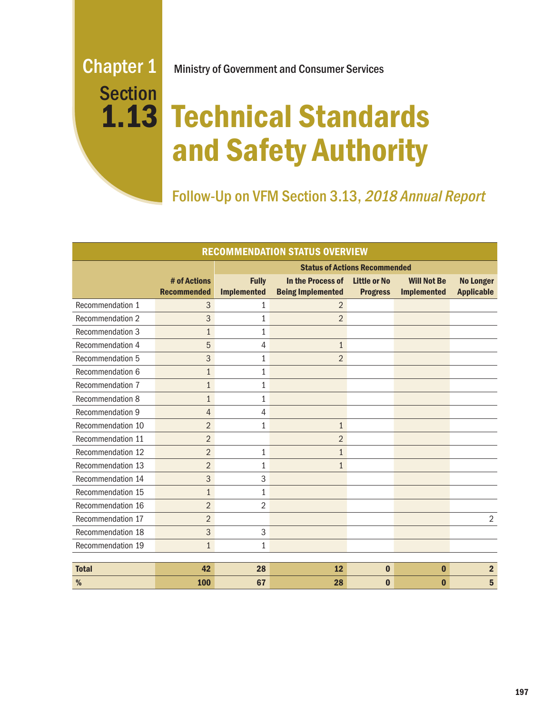# **Section** 1.13

# Chapter 1 Ministry of Government and Consumer Services

# Technical Standards and Safety Authority

Follow-Up on VFM Section 3.13, 2018 Annual Report

| <b>RECOMMENDATION STATUS OVERVIEW</b> |                                    |                                      |                                               |                                        |                                          |                                       |
|---------------------------------------|------------------------------------|--------------------------------------|-----------------------------------------------|----------------------------------------|------------------------------------------|---------------------------------------|
|                                       |                                    | <b>Status of Actions Recommended</b> |                                               |                                        |                                          |                                       |
|                                       | # of Actions<br><b>Recommended</b> | <b>Fully</b><br><b>Implemented</b>   | In the Process of<br><b>Being Implemented</b> | <b>Little or No</b><br><b>Progress</b> | <b>Will Not Be</b><br><b>Implemented</b> | <b>No Longer</b><br><b>Applicable</b> |
| Recommendation 1                      | 3                                  | 1                                    | $\overline{2}$                                |                                        |                                          |                                       |
| Recommendation 2                      | 3                                  | 1                                    | $\overline{2}$                                |                                        |                                          |                                       |
| Recommendation 3                      | $\mathbf{1}$                       | 1                                    |                                               |                                        |                                          |                                       |
| Recommendation 4                      | 5                                  | 4                                    | $\mathbf{1}$                                  |                                        |                                          |                                       |
| Recommendation 5                      | 3                                  | $\mathbf{1}$                         | $\overline{2}$                                |                                        |                                          |                                       |
| Recommendation 6                      | $\mathbf{1}$                       | $\mathbf{1}$                         |                                               |                                        |                                          |                                       |
| Recommendation 7                      | $\mathbf{1}$                       | $\mathbf{1}$                         |                                               |                                        |                                          |                                       |
| Recommendation 8                      | $\mathbf{1}$                       | $\mathbf{1}$                         |                                               |                                        |                                          |                                       |
| Recommendation 9                      | $\overline{4}$                     | 4                                    |                                               |                                        |                                          |                                       |
| Recommendation 10                     | $\overline{2}$                     | 1                                    | $\mathbf{1}$                                  |                                        |                                          |                                       |
| Recommendation 11                     | $\overline{2}$                     |                                      | $\overline{2}$                                |                                        |                                          |                                       |
| Recommendation 12                     | $\overline{2}$                     | $\mathbf{1}$                         | $\mathbf{1}$                                  |                                        |                                          |                                       |
| Recommendation 13                     | $\overline{2}$                     | $\mathbf{1}$                         | $\mathbf{1}$                                  |                                        |                                          |                                       |
| Recommendation 14                     | 3                                  | 3                                    |                                               |                                        |                                          |                                       |
| Recommendation 15                     | $\mathbf{1}$                       | $\mathbf{1}$                         |                                               |                                        |                                          |                                       |
| Recommendation 16                     | $\overline{2}$                     | 2                                    |                                               |                                        |                                          |                                       |
| Recommendation 17                     | $\overline{2}$                     |                                      |                                               |                                        |                                          | $\overline{2}$                        |
| Recommendation 18                     | 3                                  | 3                                    |                                               |                                        |                                          |                                       |
| Recommendation 19                     | $\mathbf{1}$                       | $\mathbf{1}$                         |                                               |                                        |                                          |                                       |
|                                       |                                    |                                      |                                               |                                        |                                          |                                       |
| <b>Total</b>                          | 42                                 | 28                                   | 12                                            | $\bf{0}$                               | $\bf{0}$                                 | 2 <sup>2</sup>                        |
| %                                     | 100                                | 67                                   | 28                                            | $\bf{0}$                               | $\bf{0}$                                 | 5                                     |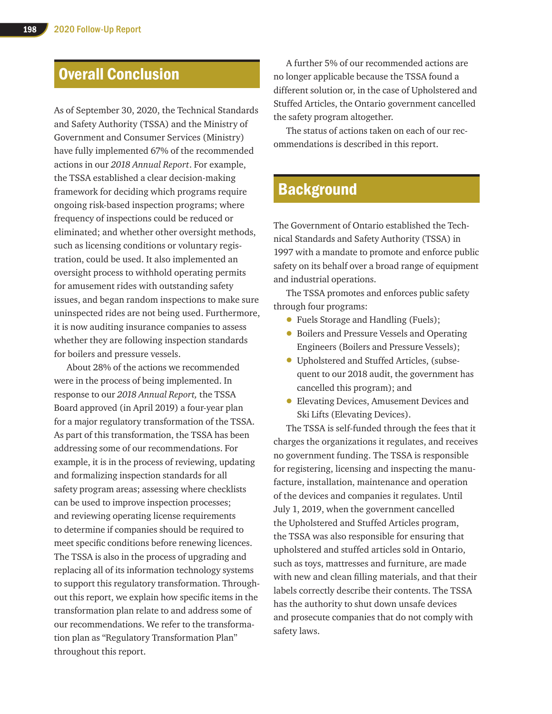# Overall Conclusion

As of September 30, 2020, the Technical Standards and Safety Authority (TSSA) and the Ministry of Government and Consumer Services (Ministry) have fully implemented 67% of the recommended actions in our *2018 Annual Report*. For example, the TSSA established a clear decision-making framework for deciding which programs require ongoing risk-based inspection programs; where frequency of inspections could be reduced or eliminated; and whether other oversight methods, such as licensing conditions or voluntary registration, could be used. It also implemented an oversight process to withhold operating permits for amusement rides with outstanding safety issues, and began random inspections to make sure uninspected rides are not being used. Furthermore, it is now auditing insurance companies to assess whether they are following inspection standards for boilers and pressure vessels.

About 28% of the actions we recommended were in the process of being implemented. In response to our *2018 Annual Report,* the TSSA Board approved (in April 2019) a four-year plan for a major regulatory transformation of the TSSA. As part of this transformation, the TSSA has been addressing some of our recommendations. For example, it is in the process of reviewing, updating and formalizing inspection standards for all safety program areas; assessing where checklists can be used to improve inspection processes; and reviewing operating license requirements to determine if companies should be required to meet specific conditions before renewing licences. The TSSA is also in the process of upgrading and replacing all of its information technology systems to support this regulatory transformation. Throughout this report, we explain how specific items in the transformation plan relate to and address some of our recommendations. We refer to the transformation plan as "Regulatory Transformation Plan" throughout this report.

A further 5% of our recommended actions are no longer applicable because the TSSA found a different solution or, in the case of Upholstered and Stuffed Articles, the Ontario government cancelled the safety program altogether.

The status of actions taken on each of our recommendations is described in this report.

# **Background**

The Government of Ontario established the Technical Standards and Safety Authority (TSSA) in 1997 with a mandate to promote and enforce public safety on its behalf over a broad range of equipment and industrial operations.

The TSSA promotes and enforces public safety through four programs:

- Fuels Storage and Handling (Fuels);
- Boilers and Pressure Vessels and Operating Engineers (Boilers and Pressure Vessels);
- Upholstered and Stuffed Articles, (subsequent to our 2018 audit, the government has cancelled this program); and
- Elevating Devices, Amusement Devices and Ski Lifts (Elevating Devices).

The TSSA is self-funded through the fees that it charges the organizations it regulates, and receives no government funding. The TSSA is responsible for registering, licensing and inspecting the manufacture, installation, maintenance and operation of the devices and companies it regulates. Until July 1, 2019, when the government cancelled the Upholstered and Stuffed Articles program, the TSSA was also responsible for ensuring that upholstered and stuffed articles sold in Ontario, such as toys, mattresses and furniture, are made with new and clean filling materials, and that their labels correctly describe their contents. The TSSA has the authority to shut down unsafe devices and prosecute companies that do not comply with safety laws.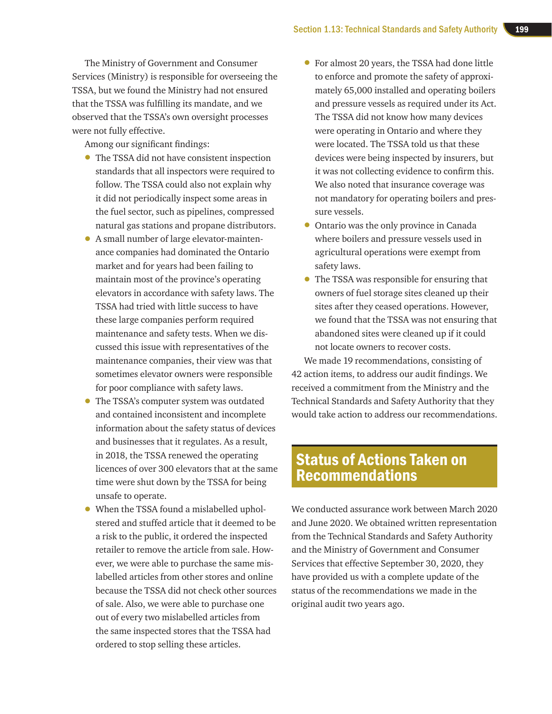The Ministry of Government and Consumer Services (Ministry) is responsible for overseeing the TSSA, but we found the Ministry had not ensured that the TSSA was fulfilling its mandate, and we observed that the TSSA's own oversight processes were not fully effective.

Among our significant findings:

- The TSSA did not have consistent inspection standards that all inspectors were required to follow. The TSSA could also not explain why it did not periodically inspect some areas in the fuel sector, such as pipelines, compressed natural gas stations and propane distributors.
- A small number of large elevator-maintenance companies had dominated the Ontario market and for years had been failing to maintain most of the province's operating elevators in accordance with safety laws. The TSSA had tried with little success to have these large companies perform required maintenance and safety tests. When we discussed this issue with representatives of the maintenance companies, their view was that sometimes elevator owners were responsible for poor compliance with safety laws.
- The TSSA's computer system was outdated and contained inconsistent and incomplete information about the safety status of devices and businesses that it regulates. As a result, in 2018, the TSSA renewed the operating licences of over 300 elevators that at the same time were shut down by the TSSA for being unsafe to operate.
- When the TSSA found a mislabelled upholstered and stuffed article that it deemed to be a risk to the public, it ordered the inspected retailer to remove the article from sale. However, we were able to purchase the same mislabelled articles from other stores and online because the TSSA did not check other sources of sale. Also, we were able to purchase one out of every two mislabelled articles from the same inspected stores that the TSSA had ordered to stop selling these articles.
- For almost 20 years, the TSSA had done little to enforce and promote the safety of approximately 65,000 installed and operating boilers and pressure vessels as required under its Act. The TSSA did not know how many devices were operating in Ontario and where they were located. The TSSA told us that these devices were being inspected by insurers, but it was not collecting evidence to confirm this. We also noted that insurance coverage was not mandatory for operating boilers and pressure vessels.
- Ontario was the only province in Canada where boilers and pressure vessels used in agricultural operations were exempt from safety laws.
- The TSSA was responsible for ensuring that owners of fuel storage sites cleaned up their sites after they ceased operations. However, we found that the TSSA was not ensuring that abandoned sites were cleaned up if it could not locate owners to recover costs.

We made 19 recommendations, consisting of 42 action items, to address our audit findings. We received a commitment from the Ministry and the Technical Standards and Safety Authority that they would take action to address our recommendations.

# Status of Actions Taken on Recommendations

We conducted assurance work between March 2020 and June 2020. We obtained written representation from the Technical Standards and Safety Authority and the Ministry of Government and Consumer Services that effective September 30, 2020, they have provided us with a complete update of the status of the recommendations we made in the original audit two years ago.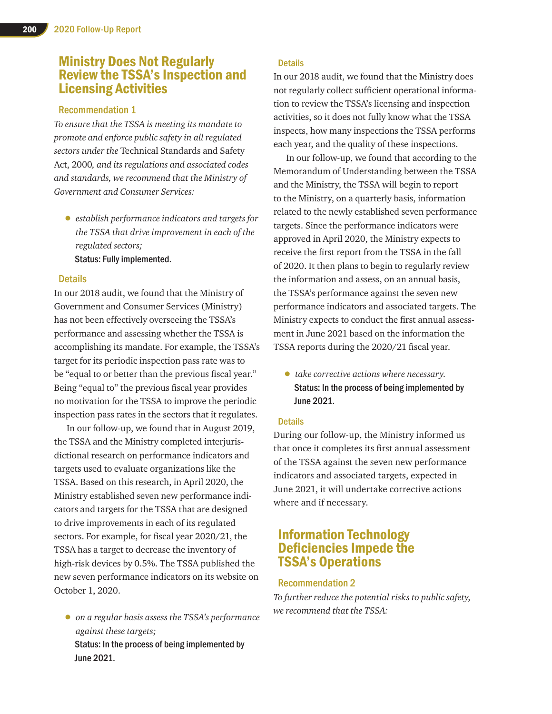# Ministry Does Not Regularly Review the TSSA's Inspection and Licensing Activities

#### Recommendation 1

*To ensure that the TSSA is meeting its mandate to promote and enforce public safety in all regulated sectors under the* Technical Standards and Safety Act, 2000*, and its regulations and associated codes and standards, we recommend that the Ministry of Government and Consumer Services:*

• *establish performance indicators and targets for the TSSA that drive improvement in each of the regulated sectors;* Status: Fully implemented.

#### **Details**

In our 2018 audit, we found that the Ministry of Government and Consumer Services (Ministry) has not been effectively overseeing the TSSA's performance and assessing whether the TSSA is accomplishing its mandate. For example, the TSSA's target for its periodic inspection pass rate was to be "equal to or better than the previous fiscal year." Being "equal to" the previous fiscal year provides no motivation for the TSSA to improve the periodic inspection pass rates in the sectors that it regulates.

In our follow-up, we found that in August 2019, the TSSA and the Ministry completed interjurisdictional research on performance indicators and targets used to evaluate organizations like the TSSA. Based on this research, in April 2020, the Ministry established seven new performance indicators and targets for the TSSA that are designed to drive improvements in each of its regulated sectors. For example, for fiscal year 2020/21, the TSSA has a target to decrease the inventory of high-risk devices by 0.5%. The TSSA published the new seven performance indicators on its website on October 1, 2020.

• *on a regular basis assess the TSSA's performance against these targets;*  Status: In the process of being implemented by June 2021.

#### **Details**

In our 2018 audit, we found that the Ministry does not regularly collect sufficient operational information to review the TSSA's licensing and inspection activities, so it does not fully know what the TSSA inspects, how many inspections the TSSA performs each year, and the quality of these inspections.

In our follow-up, we found that according to the Memorandum of Understanding between the TSSA and the Ministry, the TSSA will begin to report to the Ministry, on a quarterly basis, information related to the newly established seven performance targets. Since the performance indicators were approved in April 2020, the Ministry expects to receive the first report from the TSSA in the fall of 2020. It then plans to begin to regularly review the information and assess, on an annual basis, the TSSA's performance against the seven new performance indicators and associated targets. The Ministry expects to conduct the first annual assessment in June 2021 based on the information the TSSA reports during the 2020/21 fiscal year.

• *take corrective actions where necessary.* Status: In the process of being implemented by June 2021.

#### **Details**

During our follow-up, the Ministry informed us that once it completes its first annual assessment of the TSSA against the seven new performance indicators and associated targets, expected in June 2021, it will undertake corrective actions where and if necessary.

# Information Technology Deficiencies Impede the TSSA's Operations

#### Recommendation 2

*To further reduce the potential risks to public safety, we recommend that the TSSA:*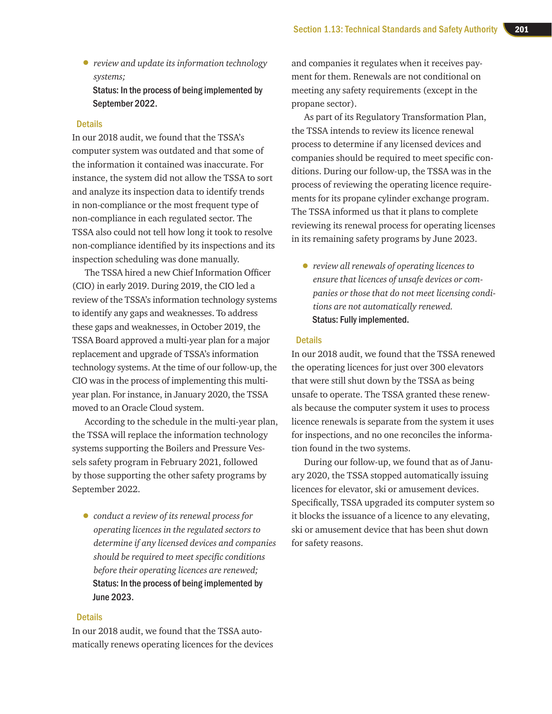• *review and update its information technology systems;*

Status: In the process of being implemented by September 2022.

#### **Details**

In our 2018 audit, we found that the TSSA's computer system was outdated and that some of the information it contained was inaccurate. For instance, the system did not allow the TSSA to sort and analyze its inspection data to identify trends in non-compliance or the most frequent type of non-compliance in each regulated sector. The TSSA also could not tell how long it took to resolve non-compliance identified by its inspections and its inspection scheduling was done manually.

The TSSA hired a new Chief Information Officer (CIO) in early 2019. During 2019, the CIO led a review of the TSSA's information technology systems to identify any gaps and weaknesses. To address these gaps and weaknesses, in October 2019, the TSSA Board approved a multi-year plan for a major replacement and upgrade of TSSA's information technology systems. At the time of our follow-up, the CIO was in the process of implementing this multiyear plan. For instance, in January 2020, the TSSA moved to an Oracle Cloud system.

According to the schedule in the multi-year plan, the TSSA will replace the information technology systems supporting the Boilers and Pressure Vessels safety program in February 2021, followed by those supporting the other safety programs by September 2022.

• *conduct a review of its renewal process for operating licences in the regulated sectors to determine if any licensed devices and companies should be required to meet specific conditions before their operating licences are renewed;*  Status: In the process of being implemented by June 2023.

#### **Details**

In our 2018 audit, we found that the TSSA automatically renews operating licences for the devices

and companies it regulates when it receives payment for them. Renewals are not conditional on meeting any safety requirements (except in the propane sector).

As part of its Regulatory Transformation Plan, the TSSA intends to review its licence renewal process to determine if any licensed devices and companies should be required to meet specific conditions. During our follow-up, the TSSA was in the process of reviewing the operating licence requirements for its propane cylinder exchange program. The TSSA informed us that it plans to complete reviewing its renewal process for operating licenses in its remaining safety programs by June 2023.

• *review all renewals of operating licences to ensure that licences of unsafe devices or companies or those that do not meet licensing conditions are not automatically renewed.* Status: Fully implemented.

#### **Details**

In our 2018 audit, we found that the TSSA renewed the operating licences for just over 300 elevators that were still shut down by the TSSA as being unsafe to operate. The TSSA granted these renewals because the computer system it uses to process licence renewals is separate from the system it uses for inspections, and no one reconciles the information found in the two systems.

During our follow-up, we found that as of January 2020, the TSSA stopped automatically issuing licences for elevator, ski or amusement devices. Specifically, TSSA upgraded its computer system so it blocks the issuance of a licence to any elevating, ski or amusement device that has been shut down for safety reasons.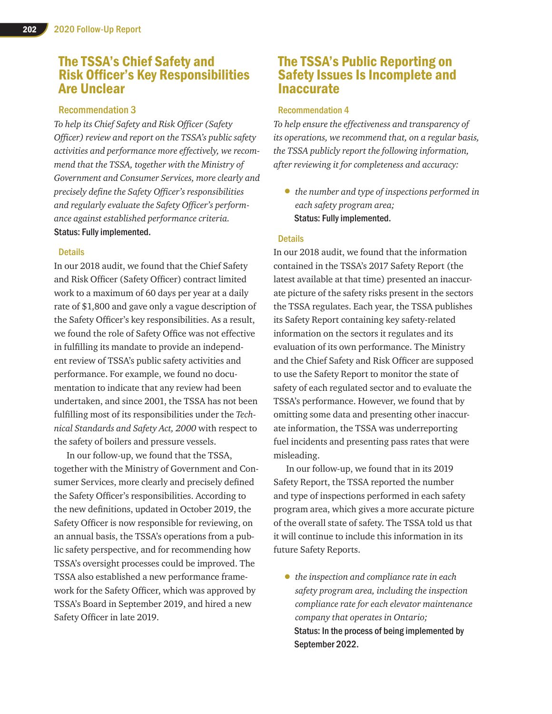# The TSSA's Chief Safety and Risk Officer's Key Responsibilities Are Unclear

#### Recommendation 3

*To help its Chief Safety and Risk Officer (Safety Officer) review and report on the TSSA's public safety activities and performance more effectively, we recommend that the TSSA, together with the Ministry of Government and Consumer Services, more clearly and precisely define the Safety Officer's responsibilities and regularly evaluate the Safety Officer's performance against established performance criteria.* Status: Fully implemented.

#### **Details**

In our 2018 audit, we found that the Chief Safety and Risk Officer (Safety Officer) contract limited work to a maximum of 60 days per year at a daily rate of \$1,800 and gave only a vague description of the Safety Officer's key responsibilities. As a result, we found the role of Safety Office was not effective in fulfilling its mandate to provide an independent review of TSSA's public safety activities and performance. For example, we found no documentation to indicate that any review had been undertaken, and since 2001, the TSSA has not been fulfilling most of its responsibilities under the *Technical Standards and Safety Act, 2000* with respect to the safety of boilers and pressure vessels.

In our follow-up, we found that the TSSA, together with the Ministry of Government and Consumer Services, more clearly and precisely defined the Safety Officer's responsibilities. According to the new definitions, updated in October 2019, the Safety Officer is now responsible for reviewing, on an annual basis, the TSSA's operations from a public safety perspective, and for recommending how TSSA's oversight processes could be improved. The TSSA also established a new performance framework for the Safety Officer, which was approved by TSSA's Board in September 2019, and hired a new Safety Officer in late 2019.

# The TSSA's Public Reporting on Safety Issues Is Incomplete and Inaccurate

#### Recommendation 4

*To help ensure the effectiveness and transparency of its operations, we recommend that, on a regular basis, the TSSA publicly report the following information, after reviewing it for completeness and accuracy:*

• *the number and type of inspections performed in each safety program area;* Status: Fully implemented.

#### **Details**

In our 2018 audit, we found that the information contained in the TSSA's 2017 Safety Report (the latest available at that time) presented an inaccurate picture of the safety risks present in the sectors the TSSA regulates. Each year, the TSSA publishes its Safety Report containing key safety-related information on the sectors it regulates and its evaluation of its own performance. The Ministry and the Chief Safety and Risk Officer are supposed to use the Safety Report to monitor the state of safety of each regulated sector and to evaluate the TSSA's performance. However, we found that by omitting some data and presenting other inaccurate information, the TSSA was underreporting fuel incidents and presenting pass rates that were misleading.

In our follow-up, we found that in its 2019 Safety Report, the TSSA reported the number and type of inspections performed in each safety program area, which gives a more accurate picture of the overall state of safety. The TSSA told us that it will continue to include this information in its future Safety Reports.

• *the inspection and compliance rate in each safety program area, including the inspection compliance rate for each elevator maintenance company that operates in Ontario;* Status: In the process of being implemented by September 2022.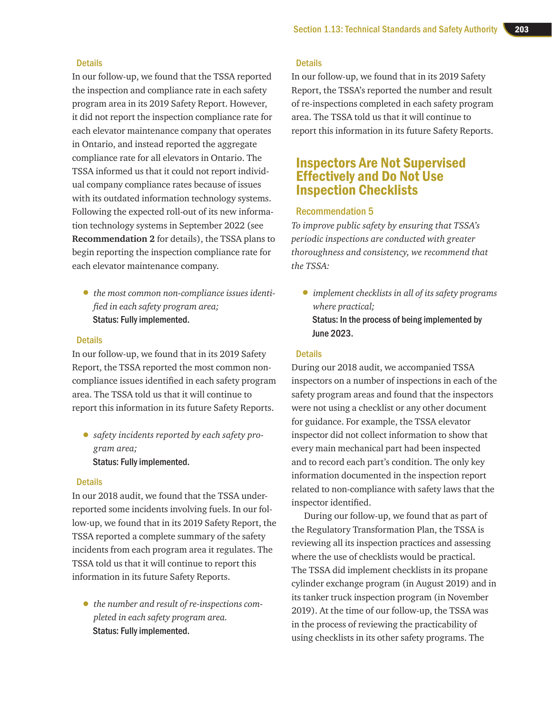#### **Details**

In our follow-up, we found that the TSSA reported the inspection and compliance rate in each safety program area in its 2019 Safety Report. However, it did not report the inspection compliance rate for each elevator maintenance company that operates in Ontario, and instead reported the aggregate compliance rate for all elevators in Ontario. The TSSA informed us that it could not report individual company compliance rates because of issues with its outdated information technology systems. Following the expected roll-out of its new information technology systems in September 2022 (see **Recommendation 2** for details), the TSSA plans to begin reporting the inspection compliance rate for each elevator maintenance company.

• *the most common non-compliance issues identified in each safety program area;* Status: Fully implemented.

#### **Details**

In our follow-up, we found that in its 2019 Safety Report, the TSSA reported the most common noncompliance issues identified in each safety program area. The TSSA told us that it will continue to report this information in its future Safety Reports.

• *safety incidents reported by each safety program area;*  Status: Fully implemented.

#### **Details**

In our 2018 audit, we found that the TSSA underreported some incidents involving fuels. In our follow-up, we found that in its 2019 Safety Report, the TSSA reported a complete summary of the safety incidents from each program area it regulates. The TSSA told us that it will continue to report this information in its future Safety Reports.

• *the number and result of re-inspections completed in each safety program area.* Status: Fully implemented.

#### **Details**

In our follow-up, we found that in its 2019 Safety Report, the TSSA's reported the number and result of re-inspections completed in each safety program area. The TSSA told us that it will continue to report this information in its future Safety Reports.

### Inspectors Are Not Supervised Effectively and Do Not Use Inspection Checklists

#### Recommendation 5

*To improve public safety by ensuring that TSSA's periodic inspections are conducted with greater thoroughness and consistency, we recommend that the TSSA:*

• *implement checklists in all of its safety programs where practical;* Status: In the process of being implemented by June 2023.

#### **Details**

During our 2018 audit, we accompanied TSSA inspectors on a number of inspections in each of the safety program areas and found that the inspectors were not using a checklist or any other document for guidance. For example, the TSSA elevator inspector did not collect information to show that every main mechanical part had been inspected and to record each part's condition. The only key information documented in the inspection report related to non-compliance with safety laws that the inspector identified.

During our follow-up, we found that as part of the Regulatory Transformation Plan, the TSSA is reviewing all its inspection practices and assessing where the use of checklists would be practical. The TSSA did implement checklists in its propane cylinder exchange program (in August 2019) and in its tanker truck inspection program (in November 2019). At the time of our follow-up, the TSSA was in the process of reviewing the practicability of using checklists in its other safety programs. The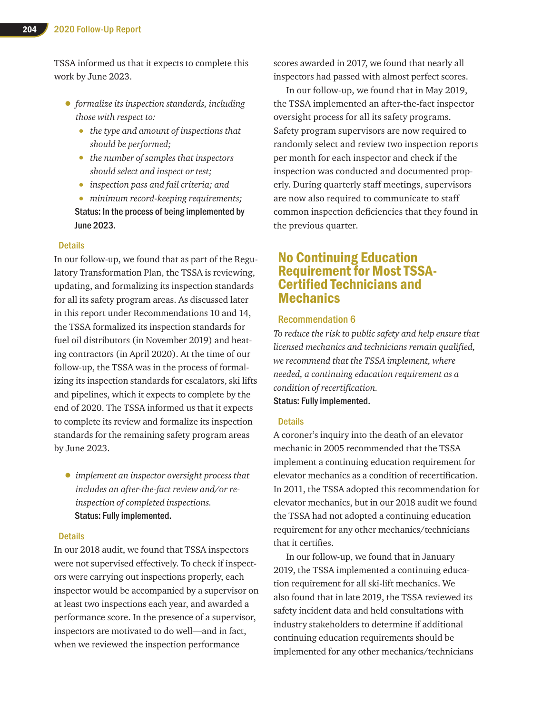TSSA informed us that it expects to complete this work by June 2023.

- *formalize its inspection standards, including those with respect to:*
	- *the type and amount of inspections that should be performed;*
	- *the number of samples that inspectors should select and inspect or test;*
	- *inspection pass and fail criteria; and*
	- *minimum record-keeping requirements;* Status: In the process of being implemented by June 2023.

#### **Details**

In our follow-up, we found that as part of the Regulatory Transformation Plan, the TSSA is reviewing, updating, and formalizing its inspection standards for all its safety program areas. As discussed later in this report under Recommendations 10 and 14, the TSSA formalized its inspection standards for fuel oil distributors (in November 2019) and heating contractors (in April 2020). At the time of our follow-up, the TSSA was in the process of formalizing its inspection standards for escalators, ski lifts and pipelines, which it expects to complete by the end of 2020. The TSSA informed us that it expects to complete its review and formalize its inspection standards for the remaining safety program areas by June 2023.

• *implement an inspector oversight process that includes an after-the-fact review and/or reinspection of completed inspections.* Status: Fully implemented.

#### Details

In our 2018 audit, we found that TSSA inspectors were not supervised effectively. To check if inspectors were carrying out inspections properly, each inspector would be accompanied by a supervisor on at least two inspections each year, and awarded a performance score. In the presence of a supervisor, inspectors are motivated to do well—and in fact, when we reviewed the inspection performance

scores awarded in 2017, we found that nearly all inspectors had passed with almost perfect scores.

In our follow-up, we found that in May 2019, the TSSA implemented an after-the-fact inspector oversight process for all its safety programs. Safety program supervisors are now required to randomly select and review two inspection reports per month for each inspector and check if the inspection was conducted and documented properly. During quarterly staff meetings, supervisors are now also required to communicate to staff common inspection deficiencies that they found in the previous quarter.

## No Continuing Education Requirement for Most TSSA-Certified Technicians and **Mechanics**

#### Recommendation 6

*To reduce the risk to public safety and help ensure that licensed mechanics and technicians remain qualified, we recommend that the TSSA implement, where needed, a continuing education requirement as a condition of recertification.* Status: Fully implemented.

#### **Details**

A coroner's inquiry into the death of an elevator mechanic in 2005 recommended that the TSSA implement a continuing education requirement for elevator mechanics as a condition of recertification. In 2011, the TSSA adopted this recommendation for elevator mechanics, but in our 2018 audit we found the TSSA had not adopted a continuing education requirement for any other mechanics/technicians that it certifies.

In our follow-up, we found that in January 2019, the TSSA implemented a continuing education requirement for all ski-lift mechanics. We also found that in late 2019, the TSSA reviewed its safety incident data and held consultations with industry stakeholders to determine if additional continuing education requirements should be implemented for any other mechanics/technicians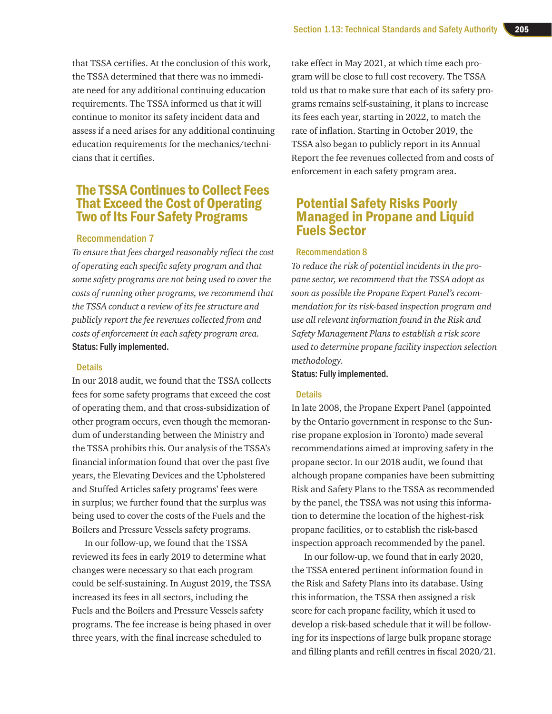that TSSA certifies. At the conclusion of this work, the TSSA determined that there was no immediate need for any additional continuing education requirements. The TSSA informed us that it will continue to monitor its safety incident data and assess if a need arises for any additional continuing education requirements for the mechanics/technicians that it certifies.

# The TSSA Continues to Collect Fees That Exceed the Cost of Operating Two of Its Four Safety Programs

#### Recommendation 7

*To ensure that fees charged reasonably reflect the cost of operating each specific safety program and that some safety programs are not being used to cover the costs of running other programs, we recommend that the TSSA conduct a review of its fee structure and publicly report the fee revenues collected from and costs of enforcement in each safety program area.* Status: Fully implemented.

#### **Details**

In our 2018 audit, we found that the TSSA collects fees for some safety programs that exceed the cost of operating them, and that cross-subsidization of other program occurs, even though the memorandum of understanding between the Ministry and the TSSA prohibits this. Our analysis of the TSSA's financial information found that over the past five years, the Elevating Devices and the Upholstered and Stuffed Articles safety programs' fees were in surplus; we further found that the surplus was being used to cover the costs of the Fuels and the Boilers and Pressure Vessels safety programs.

In our follow-up, we found that the TSSA reviewed its fees in early 2019 to determine what changes were necessary so that each program could be self-sustaining. In August 2019, the TSSA increased its fees in all sectors, including the Fuels and the Boilers and Pressure Vessels safety programs. The fee increase is being phased in over three years, with the final increase scheduled to

take effect in May 2021, at which time each program will be close to full cost recovery. The TSSA told us that to make sure that each of its safety programs remains self-sustaining, it plans to increase its fees each year, starting in 2022, to match the rate of inflation. Starting in October 2019, the TSSA also began to publicly report in its Annual Report the fee revenues collected from and costs of enforcement in each safety program area.

# Potential Safety Risks Poorly Managed in Propane and Liquid Fuels Sector

#### Recommendation 8

*To reduce the risk of potential incidents in the propane sector, we recommend that the TSSA adopt as soon as possible the Propane Expert Panel's recommendation for its risk-based inspection program and use all relevant information found in the Risk and Safety Management Plans to establish a risk score used to determine propane facility inspection selection methodology.*

Status: Fully implemented.

#### **Details**

In late 2008, the Propane Expert Panel (appointed by the Ontario government in response to the Sunrise propane explosion in Toronto) made several recommendations aimed at improving safety in the propane sector. In our 2018 audit, we found that although propane companies have been submitting Risk and Safety Plans to the TSSA as recommended by the panel, the TSSA was not using this information to determine the location of the highest-risk propane facilities, or to establish the risk-based inspection approach recommended by the panel.

In our follow-up, we found that in early 2020, the TSSA entered pertinent information found in the Risk and Safety Plans into its database. Using this information, the TSSA then assigned a risk score for each propane facility, which it used to develop a risk-based schedule that it will be following for its inspections of large bulk propane storage and filling plants and refill centres in fiscal 2020/21.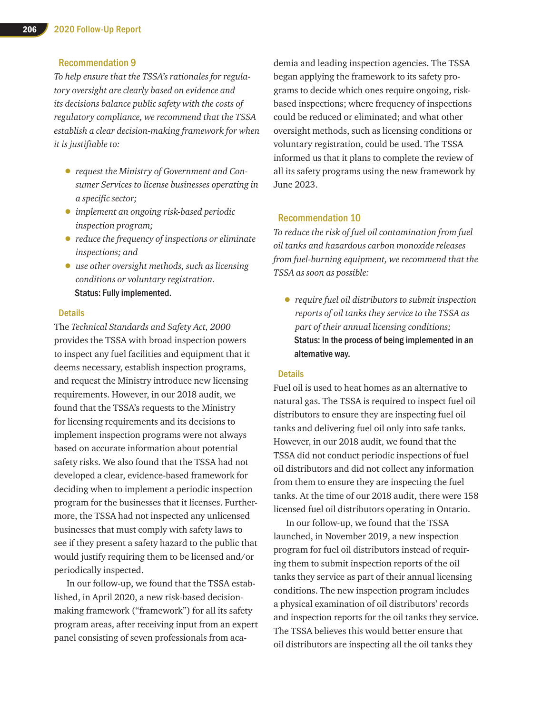#### Recommendation 9

*To help ensure that the TSSA's rationales for regulatory oversight are clearly based on evidence and its decisions balance public safety with the costs of regulatory compliance, we recommend that the TSSA establish a clear decision-making framework for when it is justifiable to:*

- *request the Ministry of Government and Consumer Services to license businesses operating in a specific sector;*
- *implement an ongoing risk-based periodic inspection program;*
- *reduce the frequency of inspections or eliminate inspections; and*
- *use other oversight methods, such as licensing conditions or voluntary registration.* Status: Fully implemented.

#### **Details**

The *Technical Standards and Safety Act, 2000* provides the TSSA with broad inspection powers to inspect any fuel facilities and equipment that it deems necessary, establish inspection programs, and request the Ministry introduce new licensing requirements. However, in our 2018 audit, we found that the TSSA's requests to the Ministry for licensing requirements and its decisions to implement inspection programs were not always based on accurate information about potential safety risks. We also found that the TSSA had not developed a clear, evidence-based framework for deciding when to implement a periodic inspection program for the businesses that it licenses. Furthermore, the TSSA had not inspected any unlicensed businesses that must comply with safety laws to see if they present a safety hazard to the public that would justify requiring them to be licensed and/or periodically inspected.

In our follow-up, we found that the TSSA established, in April 2020, a new risk-based decisionmaking framework ("framework") for all its safety program areas, after receiving input from an expert panel consisting of seven professionals from academia and leading inspection agencies. The TSSA began applying the framework to its safety programs to decide which ones require ongoing, riskbased inspections; where frequency of inspections could be reduced or eliminated; and what other oversight methods, such as licensing conditions or voluntary registration, could be used. The TSSA informed us that it plans to complete the review of all its safety programs using the new framework by June 2023.

#### Recommendation 10

*To reduce the risk of fuel oil contamination from fuel oil tanks and hazardous carbon monoxide releases from fuel-burning equipment, we recommend that the TSSA as soon as possible:*

• *require fuel oil distributors to submit inspection reports of oil tanks they service to the TSSA as part of their annual licensing conditions;*  Status: In the process of being implemented in an alternative way.

#### **Details**

Fuel oil is used to heat homes as an alternative to natural gas. The TSSA is required to inspect fuel oil distributors to ensure they are inspecting fuel oil tanks and delivering fuel oil only into safe tanks. However, in our 2018 audit, we found that the TSSA did not conduct periodic inspections of fuel oil distributors and did not collect any information from them to ensure they are inspecting the fuel tanks. At the time of our 2018 audit, there were 158 licensed fuel oil distributors operating in Ontario.

In our follow-up, we found that the TSSA launched, in November 2019, a new inspection program for fuel oil distributors instead of requiring them to submit inspection reports of the oil tanks they service as part of their annual licensing conditions. The new inspection program includes a physical examination of oil distributors' records and inspection reports for the oil tanks they service. The TSSA believes this would better ensure that oil distributors are inspecting all the oil tanks they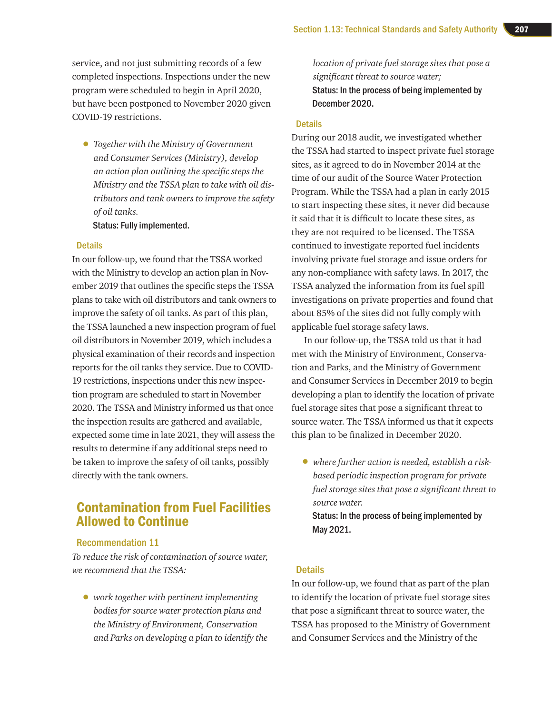service, and not just submitting records of a few completed inspections. Inspections under the new program were scheduled to begin in April 2020, but have been postponed to November 2020 given COVID-19 restrictions.

• *Together with the Ministry of Government and Consumer Services (Ministry), develop an action plan outlining the specific steps the Ministry and the TSSA plan to take with oil distributors and tank owners to improve the safety of oil tanks.*

Status: Fully implemented.

#### **Details**

In our follow-up, we found that the TSSA worked with the Ministry to develop an action plan in November 2019 that outlines the specific steps the TSSA plans to take with oil distributors and tank owners to improve the safety of oil tanks. As part of this plan, the TSSA launched a new inspection program of fuel oil distributors in November 2019, which includes a physical examination of their records and inspection reports for the oil tanks they service. Due to COVID-19 restrictions, inspections under this new inspection program are scheduled to start in November 2020. The TSSA and Ministry informed us that once the inspection results are gathered and available, expected some time in late 2021, they will assess the results to determine if any additional steps need to be taken to improve the safety of oil tanks, possibly directly with the tank owners.

# Contamination from Fuel Facilities Allowed to Continue

#### Recommendation 11

*To reduce the risk of contamination of source water, we recommend that the TSSA:*

• *work together with pertinent implementing bodies for source water protection plans and the Ministry of Environment, Conservation and Parks on developing a plan to identify the*  *location of private fuel storage sites that pose a significant threat to source water;*  Status: In the process of being implemented by December 2020.

#### **Details**

During our 2018 audit, we investigated whether the TSSA had started to inspect private fuel storage sites, as it agreed to do in November 2014 at the time of our audit of the Source Water Protection Program. While the TSSA had a plan in early 2015 to start inspecting these sites, it never did because it said that it is difficult to locate these sites, as they are not required to be licensed. The TSSA continued to investigate reported fuel incidents involving private fuel storage and issue orders for any non-compliance with safety laws. In 2017, the TSSA analyzed the information from its fuel spill investigations on private properties and found that about 85% of the sites did not fully comply with applicable fuel storage safety laws.

In our follow-up, the TSSA told us that it had met with the Ministry of Environment, Conservation and Parks, and the Ministry of Government and Consumer Services in December 2019 to begin developing a plan to identify the location of private fuel storage sites that pose a significant threat to source water. The TSSA informed us that it expects this plan to be finalized in December 2020.

• *where further action is needed, establish a riskbased periodic inspection program for private fuel storage sites that pose a significant threat to source water.* Status: In the process of being implemented by May 2021.

#### **Details**

In our follow-up, we found that as part of the plan to identify the location of private fuel storage sites that pose a significant threat to source water, the TSSA has proposed to the Ministry of Government and Consumer Services and the Ministry of the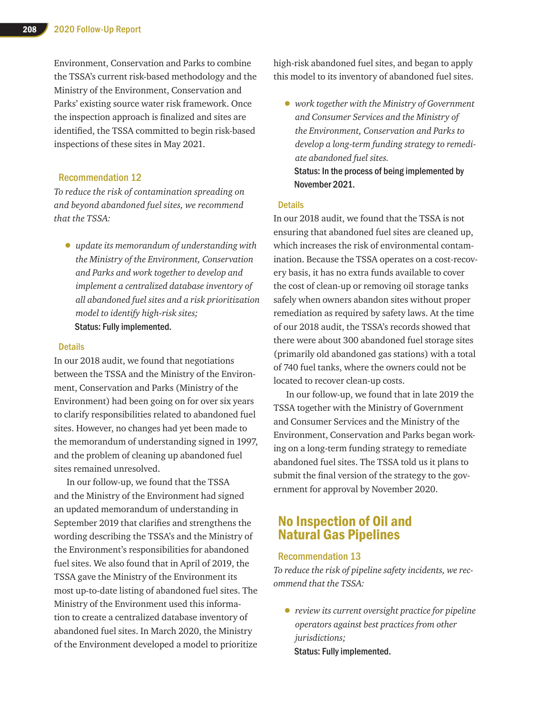Environment, Conservation and Parks to combine the TSSA's current risk-based methodology and the Ministry of the Environment, Conservation and Parks' existing source water risk framework. Once the inspection approach is finalized and sites are identified, the TSSA committed to begin risk-based inspections of these sites in May 2021.

#### Recommendation 12

*To reduce the risk of contamination spreading on and beyond abandoned fuel sites, we recommend that the TSSA:*

• *update its memorandum of understanding with the Ministry of the Environment, Conservation and Parks and work together to develop and implement a centralized database inventory of all abandoned fuel sites and a risk prioritization model to identify high-risk sites;* Status: Fully implemented.

#### **Details**

In our 2018 audit, we found that negotiations between the TSSA and the Ministry of the Environment, Conservation and Parks (Ministry of the Environment) had been going on for over six years to clarify responsibilities related to abandoned fuel sites. However, no changes had yet been made to the memorandum of understanding signed in 1997, and the problem of cleaning up abandoned fuel sites remained unresolved.

In our follow-up, we found that the TSSA and the Ministry of the Environment had signed an updated memorandum of understanding in September 2019 that clarifies and strengthens the wording describing the TSSA's and the Ministry of the Environment's responsibilities for abandoned fuel sites. We also found that in April of 2019, the TSSA gave the Ministry of the Environment its most up-to-date listing of abandoned fuel sites. The Ministry of the Environment used this information to create a centralized database inventory of abandoned fuel sites. In March 2020, the Ministry of the Environment developed a model to prioritize

high-risk abandoned fuel sites, and began to apply this model to its inventory of abandoned fuel sites.

• *work together with the Ministry of Government and Consumer Services and the Ministry of the Environment, Conservation and Parks to develop a long-term funding strategy to remediate abandoned fuel sites.* Status: In the process of being implemented by November 2021.

#### **Details**

In our 2018 audit, we found that the TSSA is not ensuring that abandoned fuel sites are cleaned up, which increases the risk of environmental contamination. Because the TSSA operates on a cost-recovery basis, it has no extra funds available to cover the cost of clean-up or removing oil storage tanks safely when owners abandon sites without proper remediation as required by safety laws. At the time of our 2018 audit, the TSSA's records showed that there were about 300 abandoned fuel storage sites (primarily old abandoned gas stations) with a total of 740 fuel tanks, where the owners could not be located to recover clean-up costs.

In our follow-up, we found that in late 2019 the TSSA together with the Ministry of Government and Consumer Services and the Ministry of the Environment, Conservation and Parks began working on a long-term funding strategy to remediate abandoned fuel sites. The TSSA told us it plans to submit the final version of the strategy to the government for approval by November 2020.

# No Inspection of Oil and Natural Gas Pipelines

#### Recommendation 13

*To reduce the risk of pipeline safety incidents, we recommend that the TSSA:*

• *review its current oversight practice for pipeline operators against best practices from other jurisdictions;*  Status: Fully implemented.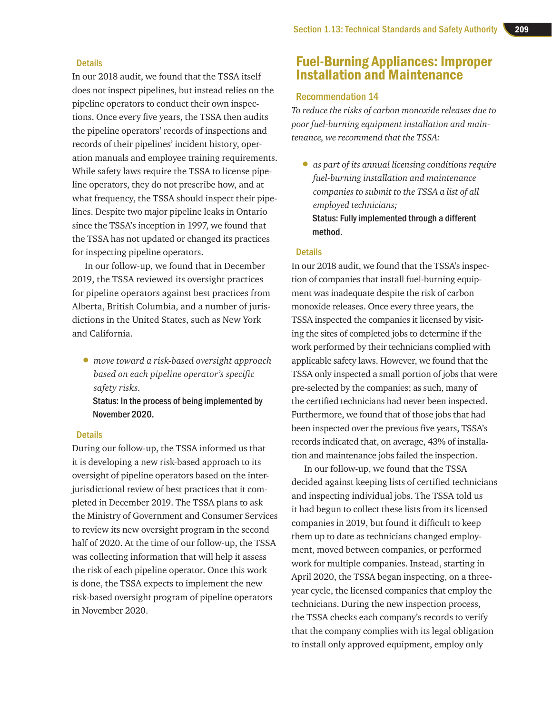#### **Details**

In our 2018 audit, we found that the TSSA itself does not inspect pipelines, but instead relies on the pipeline operators to conduct their own inspections. Once every five years, the TSSA then audits the pipeline operators' records of inspections and records of their pipelines' incident history, operation manuals and employee training requirements. While safety laws require the TSSA to license pipeline operators, they do not prescribe how, and at what frequency, the TSSA should inspect their pipelines. Despite two major pipeline leaks in Ontario since the TSSA's inception in 1997, we found that the TSSA has not updated or changed its practices for inspecting pipeline operators.

In our follow-up, we found that in December 2019, the TSSA reviewed its oversight practices for pipeline operators against best practices from Alberta, British Columbia, and a number of jurisdictions in the United States, such as New York and California.

• *move toward a risk-based oversight approach based on each pipeline operator's specific safety risks.*

Status: In the process of being implemented by November 2020.

#### **Details**

During our follow-up, the TSSA informed us that it is developing a new risk-based approach to its oversight of pipeline operators based on the interjurisdictional review of best practices that it completed in December 2019. The TSSA plans to ask the Ministry of Government and Consumer Services to review its new oversight program in the second half of 2020. At the time of our follow-up, the TSSA was collecting information that will help it assess the risk of each pipeline operator. Once this work is done, the TSSA expects to implement the new risk-based oversight program of pipeline operators in November 2020.

# Fuel-Burning Appliances: Improper Installation and Maintenance

#### Recommendation 14

*To reduce the risks of carbon monoxide releases due to poor fuel-burning equipment installation and maintenance, we recommend that the TSSA:*

• *as part of its annual licensing conditions require fuel-burning installation and maintenance companies to submit to the TSSA a list of all employed technicians;* Status: Fully implemented through a different method.

#### **Details**

In our 2018 audit, we found that the TSSA's inspection of companies that install fuel-burning equipment was inadequate despite the risk of carbon monoxide releases. Once every three years, the TSSA inspected the companies it licensed by visiting the sites of completed jobs to determine if the work performed by their technicians complied with applicable safety laws. However, we found that the TSSA only inspected a small portion of jobs that were pre-selected by the companies; as such, many of the certified technicians had never been inspected. Furthermore, we found that of those jobs that had been inspected over the previous five years, TSSA's records indicated that, on average, 43% of installation and maintenance jobs failed the inspection.

In our follow-up, we found that the TSSA decided against keeping lists of certified technicians and inspecting individual jobs. The TSSA told us it had begun to collect these lists from its licensed companies in 2019, but found it difficult to keep them up to date as technicians changed employment, moved between companies, or performed work for multiple companies. Instead, starting in April 2020, the TSSA began inspecting, on a threeyear cycle, the licensed companies that employ the technicians. During the new inspection process, the TSSA checks each company's records to verify that the company complies with its legal obligation to install only approved equipment, employ only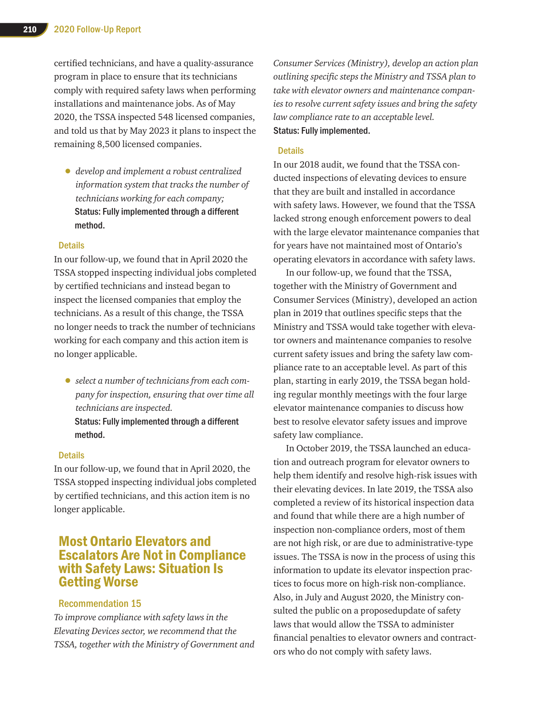certified technicians, and have a quality-assurance program in place to ensure that its technicians comply with required safety laws when performing installations and maintenance jobs. As of May 2020, the TSSA inspected 548 licensed companies, and told us that by May 2023 it plans to inspect the remaining 8,500 licensed companies.

• *develop and implement a robust centralized information system that tracks the number of technicians working for each company;*  Status: Fully implemented through a different method.

#### **Details**

In our follow-up, we found that in April 2020 the TSSA stopped inspecting individual jobs completed by certified technicians and instead began to inspect the licensed companies that employ the technicians. As a result of this change, the TSSA no longer needs to track the number of technicians working for each company and this action item is no longer applicable.

- *select a number of technicians from each company for inspection, ensuring that over time all technicians are inspected.*
	- Status: Fully implemented through a different method.

#### **Details**

In our follow-up, we found that in April 2020, the TSSA stopped inspecting individual jobs completed by certified technicians, and this action item is no longer applicable.

# Most Ontario Elevators and Escalators Are Not in Compliance with Safety Laws: Situation Is Getting Worse

#### Recommendation 15

*To improve compliance with safety laws in the Elevating Devices sector, we recommend that the TSSA, together with the Ministry of Government and* 

*Consumer Services (Ministry), develop an action plan outlining specific steps the Ministry and TSSA plan to take with elevator owners and maintenance companies to resolve current safety issues and bring the safety law compliance rate to an acceptable level.* Status: Fully implemented.

#### **Details**

In our 2018 audit, we found that the TSSA conducted inspections of elevating devices to ensure that they are built and installed in accordance with safety laws. However, we found that the TSSA lacked strong enough enforcement powers to deal with the large elevator maintenance companies that for years have not maintained most of Ontario's operating elevators in accordance with safety laws.

In our follow-up, we found that the TSSA, together with the Ministry of Government and Consumer Services (Ministry), developed an action plan in 2019 that outlines specific steps that the Ministry and TSSA would take together with elevator owners and maintenance companies to resolve current safety issues and bring the safety law compliance rate to an acceptable level. As part of this plan, starting in early 2019, the TSSA began holding regular monthly meetings with the four large elevator maintenance companies to discuss how best to resolve elevator safety issues and improve safety law compliance.

In October 2019, the TSSA launched an education and outreach program for elevator owners to help them identify and resolve high-risk issues with their elevating devices. In late 2019, the TSSA also completed a review of its historical inspection data and found that while there are a high number of inspection non-compliance orders, most of them are not high risk, or are due to administrative-type issues. The TSSA is now in the process of using this information to update its elevator inspection practices to focus more on high-risk non-compliance. Also, in July and August 2020, the Ministry consulted the public on a proposedupdate of safety laws that would allow the TSSA to administer financial penalties to elevator owners and contractors who do not comply with safety laws.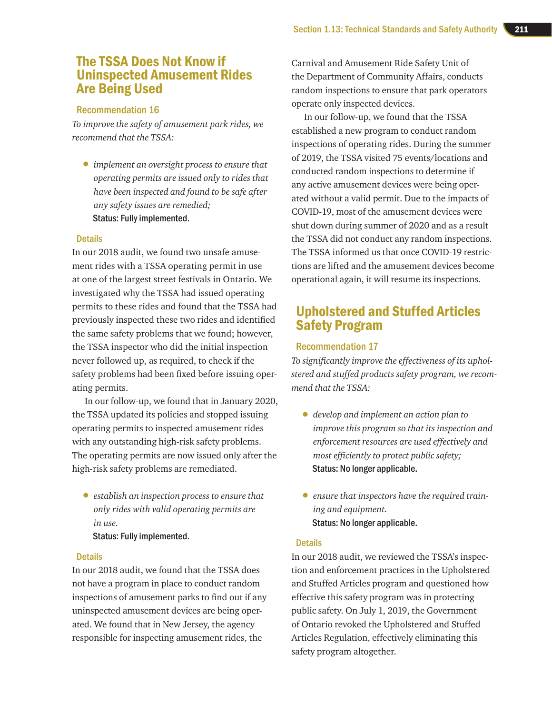# The TSSA Does Not Know if Uninspected Amusement Rides Are Being Used

#### Recommendation 16

*To improve the safety of amusement park rides, we recommend that the TSSA:*

• *implement an oversight process to ensure that operating permits are issued only to rides that have been inspected and found to be safe after any safety issues are remedied;*  Status: Fully implemented.

#### **Details**

In our 2018 audit, we found two unsafe amusement rides with a TSSA operating permit in use at one of the largest street festivals in Ontario. We investigated why the TSSA had issued operating permits to these rides and found that the TSSA had previously inspected these two rides and identified the same safety problems that we found; however, the TSSA inspector who did the initial inspection never followed up, as required, to check if the safety problems had been fixed before issuing operating permits.

In our follow-up, we found that in January 2020, the TSSA updated its policies and stopped issuing operating permits to inspected amusement rides with any outstanding high-risk safety problems. The operating permits are now issued only after the high-risk safety problems are remediated.

• *establish an inspection process to ensure that only rides with valid operating permits are in use.*

Status: Fully implemented.

#### **Details**

In our 2018 audit, we found that the TSSA does not have a program in place to conduct random inspections of amusement parks to find out if any uninspected amusement devices are being operated. We found that in New Jersey, the agency responsible for inspecting amusement rides, the

Carnival and Amusement Ride Safety Unit of the Department of Community Affairs, conducts random inspections to ensure that park operators operate only inspected devices.

In our follow-up, we found that the TSSA established a new program to conduct random inspections of operating rides. During the summer of 2019, the TSSA visited 75 events/locations and conducted random inspections to determine if any active amusement devices were being operated without a valid permit. Due to the impacts of COVID-19, most of the amusement devices were shut down during summer of 2020 and as a result the TSSA did not conduct any random inspections. The TSSA informed us that once COVID-19 restrictions are lifted and the amusement devices become operational again, it will resume its inspections.

# Upholstered and Stuffed Articles Safety Program

#### Recommendation 17

*To significantly improve the effectiveness of its upholstered and stuffed products safety program, we recommend that the TSSA:*

- *develop and implement an action plan to improve this program so that its inspection and enforcement resources are used effectively and most efficiently to protect public safety;*  Status: No longer applicable.
- *ensure that inspectors have the required training and equipment.* Status: No longer applicable.

#### **Details**

In our 2018 audit, we reviewed the TSSA's inspection and enforcement practices in the Upholstered and Stuffed Articles program and questioned how effective this safety program was in protecting public safety. On July 1, 2019, the Government of Ontario revoked the Upholstered and Stuffed Articles Regulation, effectively eliminating this safety program altogether.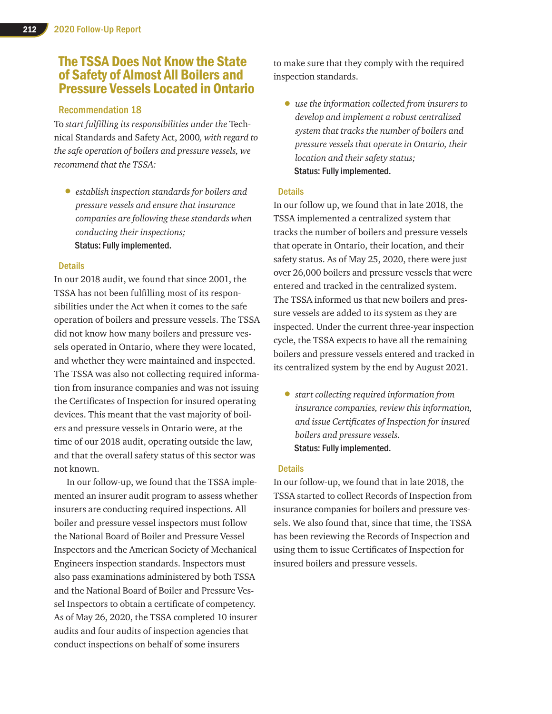# The TSSA Does Not Know the State of Safety of Almost All Boilers and Pressure Vessels Located in Ontario

#### Recommendation 18

To *start fulfilling its responsibilities under the* Technical Standards and Safety Act, 2000*, with regard to the safe operation of boilers and pressure vessels, we recommend that the TSSA:*

• *establish inspection standards for boilers and pressure vessels and ensure that insurance companies are following these standards when conducting their inspections;* Status: Fully implemented.

#### **Details**

In our 2018 audit, we found that since 2001, the TSSA has not been fulfilling most of its responsibilities under the Act when it comes to the safe operation of boilers and pressure vessels. The TSSA did not know how many boilers and pressure vessels operated in Ontario, where they were located, and whether they were maintained and inspected. The TSSA was also not collecting required information from insurance companies and was not issuing the Certificates of Inspection for insured operating devices. This meant that the vast majority of boilers and pressure vessels in Ontario were, at the time of our 2018 audit, operating outside the law, and that the overall safety status of this sector was not known.

In our follow-up, we found that the TSSA implemented an insurer audit program to assess whether insurers are conducting required inspections. All boiler and pressure vessel inspectors must follow the National Board of Boiler and Pressure Vessel Inspectors and the American Society of Mechanical Engineers inspection standards. Inspectors must also pass examinations administered by both TSSA and the National Board of Boiler and Pressure Vessel Inspectors to obtain a certificate of competency. As of May 26, 2020, the TSSA completed 10 insurer audits and four audits of inspection agencies that conduct inspections on behalf of some insurers

to make sure that they comply with the required inspection standards.

• *use the information collected from insurers to develop and implement a robust centralized system that tracks the number of boilers and pressure vessels that operate in Ontario, their location and their safety status;*  Status: Fully implemented.

#### **Details**

In our follow up, we found that in late 2018, the TSSA implemented a centralized system that tracks the number of boilers and pressure vessels that operate in Ontario, their location, and their safety status. As of May 25, 2020, there were just over 26,000 boilers and pressure vessels that were entered and tracked in the centralized system. The TSSA informed us that new boilers and pressure vessels are added to its system as they are inspected. Under the current three-year inspection cycle, the TSSA expects to have all the remaining boilers and pressure vessels entered and tracked in its centralized system by the end by August 2021.

• *start collecting required information from insurance companies, review this information, and issue Certificates of Inspection for insured boilers and pressure vessels.* Status: Fully implemented.

#### **Details**

In our follow-up, we found that in late 2018, the TSSA started to collect Records of Inspection from insurance companies for boilers and pressure vessels. We also found that, since that time, the TSSA has been reviewing the Records of Inspection and using them to issue Certificates of Inspection for insured boilers and pressure vessels.